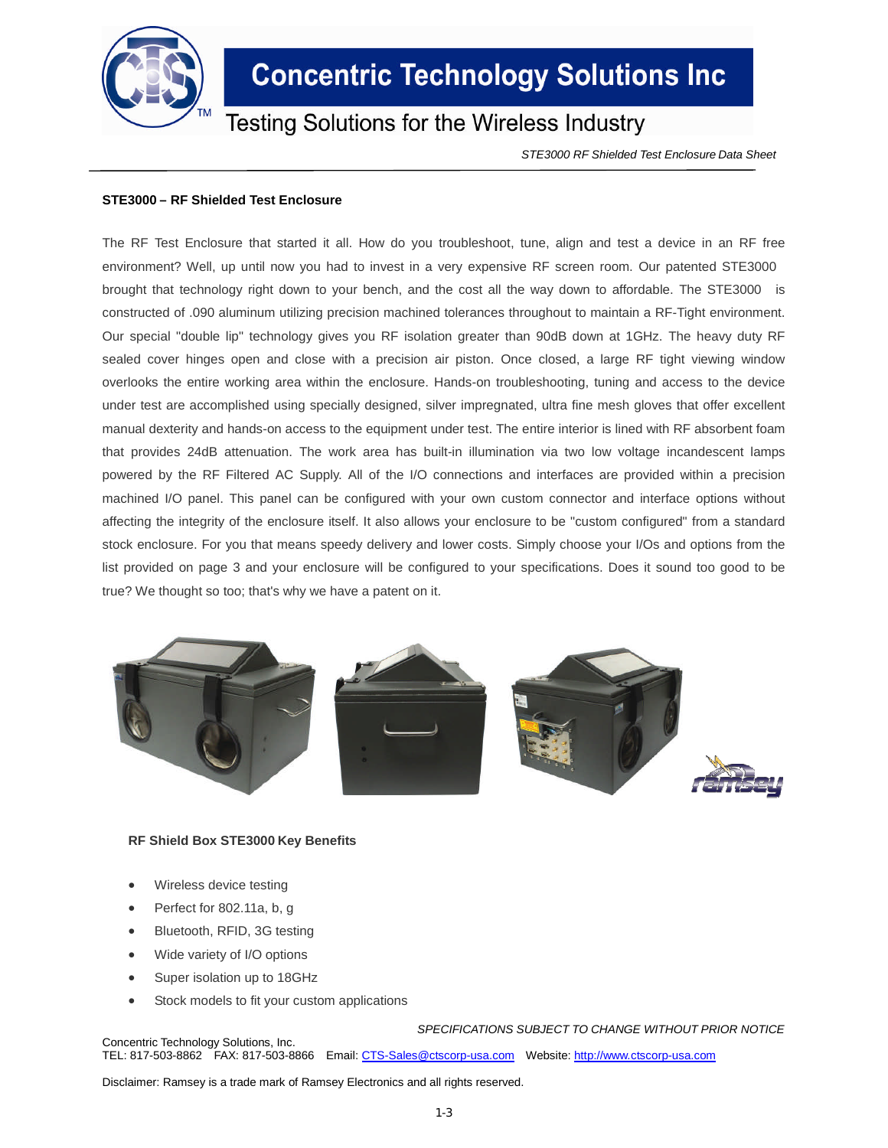

## **Concentric Technology Solutions Inc**

### **Testing Solutions for the Wireless Industry**

*STE3000 RF Shielded Test Enclosure Data Sheet*

### **STE3000 – RF Shielded Test Enclosure**

The RF Test Enclosure that started it all. How do you troubleshoot, tune, align and test a device in an RF free environment? Well, up until now you had to invest in a very expensive RF screen room. Our patented STE3000 brought that technology right down to your bench, and the cost all the way down to affordable. The STE3000 is constructed of .090 aluminum utilizing precision machined tolerances throughout to maintain a RF-Tight environment. Our special "double lip" technology gives you RF isolation greater than 90dB down at 1GHz. The heavy duty RF sealed cover hinges open and close with a precision air piston. Once closed, a large RF tight viewing window overlooks the entire working area within the enclosure. Hands-on troubleshooting, tuning and access to the device under test are accomplished using specially designed, silver impregnated, ultra fine mesh gloves that offer excellent manual dexterity and hands-on access to the equipment under test. The entire interior is lined with RF absorbent foam that provides 24dB attenuation. The work area has built-in illumination via two low voltage incandescent lamps powered by the RF Filtered AC Supply. All of the I/O connections and interfaces are provided within a precision machined I/O panel. This panel can be configured with your own custom connector and interface options without affecting the integrity of the enclosure itself. It also allows your enclosure to be "custom configured" from a standard stock enclosure. For you that means speedy delivery and lower costs. Simply choose your I/Os and options from the list provided on page 3 and your enclosure will be configured to your specifications. Does it sound too good to be true? We thought so too; that's why we have a patent on it.



#### **RF Shield Box STE3000 Key Benefits**

- Wireless device testing
- Perfect for 802.11a, b, g
- Bluetooth, RFID, 3G testing
- Wide variety of I/O options
- Super isolation up to 18GHz
- Stock models to fit your custom applications

*SPECIFICATIONS SUBJECT TO CHANGE WITHOUT PRIOR NOTICE* Concentric Technology Solutions, Inc.

TEL: 817-503-8862 FAX: 817-503-8866 Email: CTS-Sales@ctscorp-usa.com Website: http://www.ctscorp-usa.com

Disclaimer: Ramsey is a trade mark of Ramsey Electronics and all rights reserved.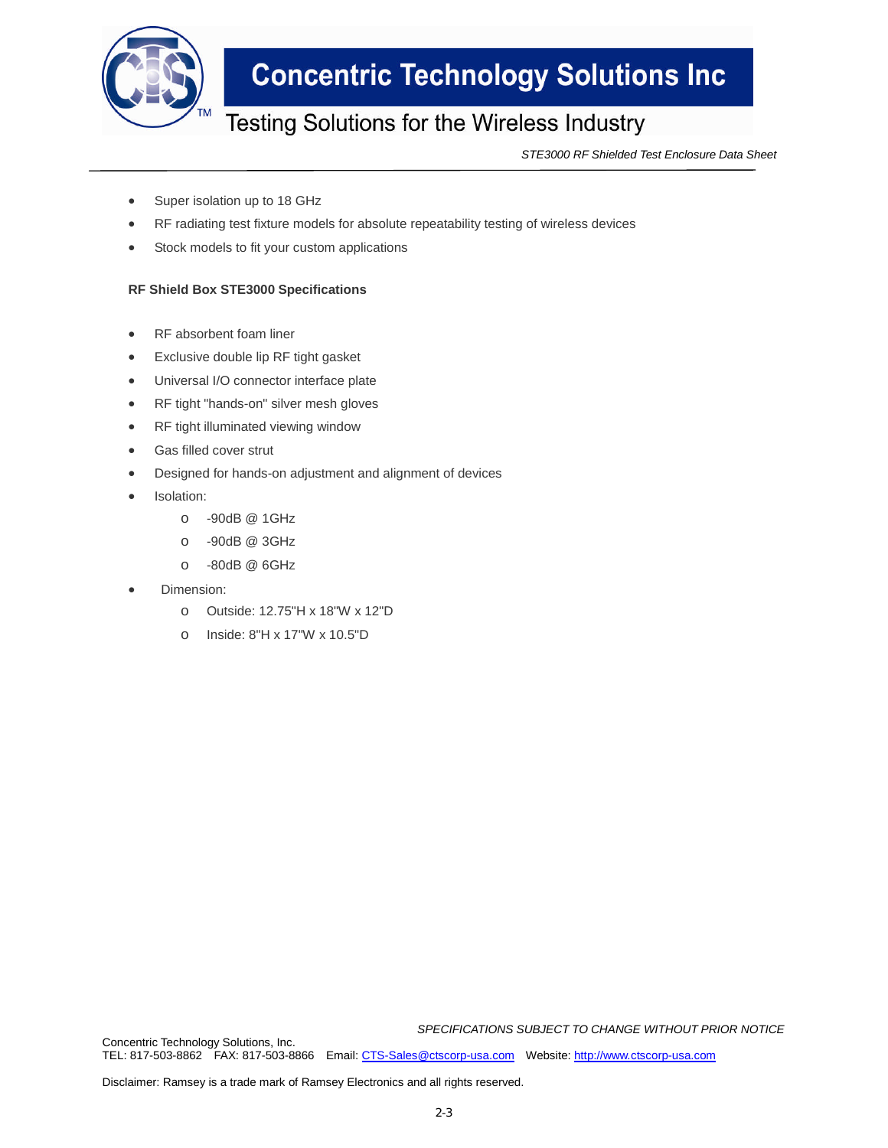

## **Concentric Technology Solutions Inc**

## Testing Solutions for the Wireless Industry

*STE3000 RF Shielded Test Enclosure Data Sheet*

- Super isolation up to 18 GHz
- RF radiating test fixture models for absolute repeatability testing of wireless devices
- Stock models to fit your custom applications

### **RF Shield Box STE3000 Specifications**

- RF absorbent foam liner
- Exclusive double lip RF tight gasket
- Universal I/O connector interface plate
- RF tight "hands-on" silver mesh gloves
- RF tight illuminated viewing window
- Gas filled cover strut
- Designed for hands-on adjustment and alignment of devices
- Isolation:
	- o -90dB @ 1GHz
	- o -90dB @ 3GHz
	- o -80dB @ 6GHz
- Dimension:
	- o Outside: 12.75"H x 18"W x 12"D
	- o Inside: 8"H x 17"W x 10.5"D

*SPECIFICATIONS SUBJECT TO CHANGE WITHOUT PRIOR NOTICE*

Concentric Technology Solutions, Inc. TEL: 817-503-8862 FAX: 817-503-8866 Email: CTS-Sales@ctscorp-usa.com Website: http://www.ctscorp-usa.com

Disclaimer: Ramsey is a trade mark of Ramsey Electronics and all rights reserved.